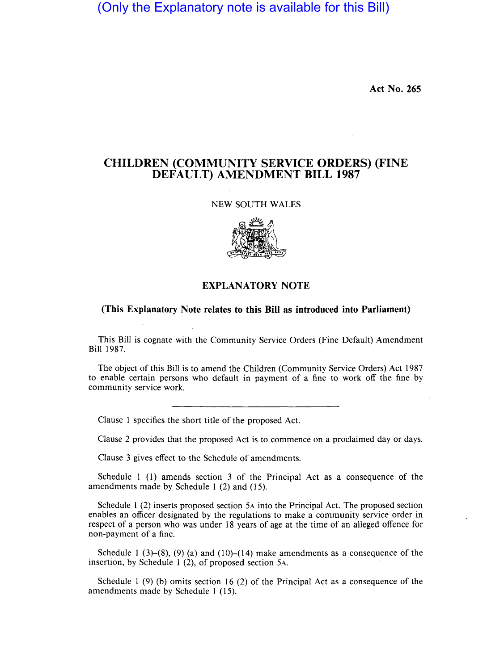(Only the Explanatory note is available for this Bill)

**Act No. 265** 

## **CHILDREN (COMMUNITY SERVICE ORDERS) (FINE DEFAULT) AMENDMENT BILL 1987**

## NEW SOUTH WALES



## **EXPLANATORY NOTE**

## **(This Explanatory Note relates to this Bill as introduced into Parliament)**

This Bill is cognate with the Community Service Orders (Fine Default) Amendment Bill 1987.

The object of this Bill is to amend the Children (Community Service Orders) Act 1987 to enable certain persons who default in payment of a fine to work off the fine by community service work.

Clause 1 specifies the short title of the proposed Act.

Clause 2 provides that the proposed Act is to commence on a proclaimed day or days.

Clause 3 gives effect to the Schedule of amendments.

Schedule 1 (1) amends section 3 of the Principal Act as a consequence of the amendments made by Schedule 1 (2) and (15).

Schedule 1 (2) inserts proposed section SA into the Principal Act. The proposed section enables an officer designated by the regulations to make a community service order in respect of a person who was under 18 years of age at the time of an alleged offence for non-payment of a fine.

Schedule 1 (3)–(8), (9) (a) and (10)–(14) make amendments as a consequence of the insertion, by Schedule 1 (2), of proposed section SA.

Schedule 1 (9) (b) omits section 16 (2) of the Principal Act as a consequence of the amendments made by Schedule 1 (15).